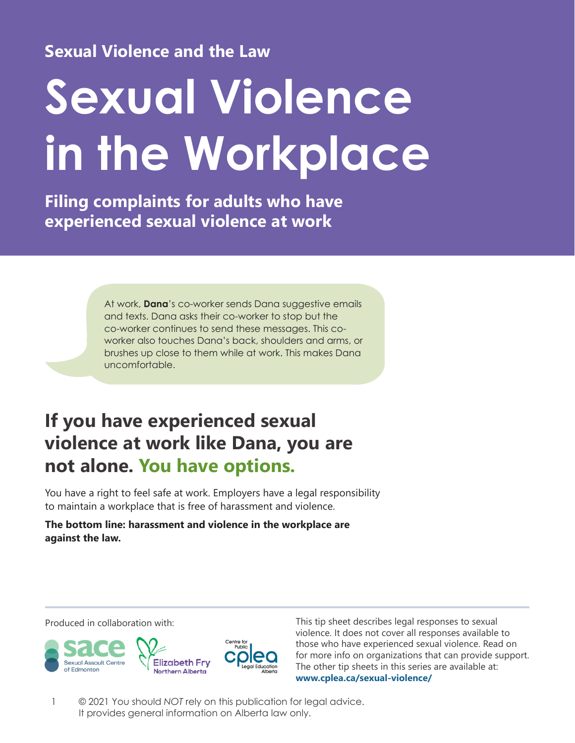**Sexual Violence and the Law**

# **Sexual Violence in the Workplace**

**Filing complaints for adults who have experienced sexual violence at work**

> At work, **Dana**'s co-worker sends Dana suggestive emails and texts. Dana asks their co-worker to stop but the co-worker continues to send these messages. This coworker also touches Dana's back, shoulders and arms, or brushes up close to them while at work. This makes Dana uncomfortable.

# **If you have experienced sexual violence at work like Dana, you are not alone. You have options.**

You have a right to feel safe at work. Employers have a legal responsibility to maintain a workplace that is free of harassment and violence.

**The bottom line: harassment and violence in the workplace are against the law.**



Produced in collaboration with: This tip sheet describes legal responses to sexual violence. It does not cover all responses available to those who have experienced sexual violence. Read on for more info on organizations that can provide support. The other tip sheets in this series are available at: **[www.cplea.ca/sexual-violence/](http://www.cplea.ca/sexual-violence/)**

1 © 2021 You should *NOT* rely on this publication for legal advice. It provides general information on Alberta law only.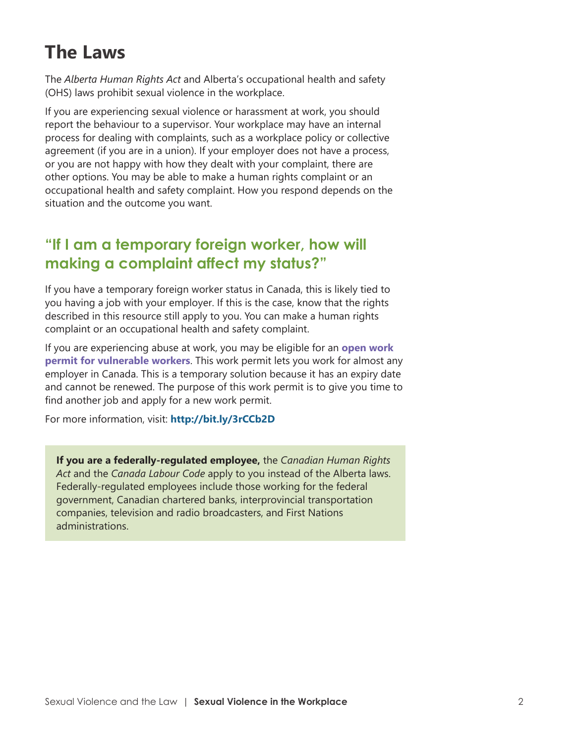# **The Laws**

The *Alberta Human Rights Act* and Alberta's occupational health and safety (OHS) laws prohibit sexual violence in the workplace.

If you are experiencing sexual violence or harassment at work, you should report the behaviour to a supervisor. Your workplace may have an internal process for dealing with complaints, such as a workplace policy or collective agreement (if you are in a union). If your employer does not have a process, or you are not happy with how they dealt with your complaint, there are other options. You may be able to make a human rights complaint or an occupational health and safety complaint. How you respond depends on the situation and the outcome you want.

# **"If I am a temporary foreign worker, how will making a complaint affect my status?"**

If you have a temporary foreign worker status in Canada, this is likely tied to you having a job with your employer. If this is the case, know that the rights described in this resource still apply to you. You can make a human rights complaint or an occupational health and safety complaint.

If you are experiencing abuse at work, you may be eligible for an **open work permit for vulnerable workers**. This work permit lets you work for almost any employer in Canada. This is a temporary solution because it has an expiry date and cannot be renewed. The purpose of this work permit is to give you time to find another job and apply for a new work permit.

For more information, visit: **<http://bit.ly/3rCCb2D>**

**If you are a federally-regulated employee,** the *Canadian Human Rights Act* and the *Canada Labour Code* apply to you instead of the Alberta laws. Federally-regulated employees include those working for the federal government, Canadian chartered banks, interprovincial transportation companies, television and radio broadcasters, and First Nations administrations.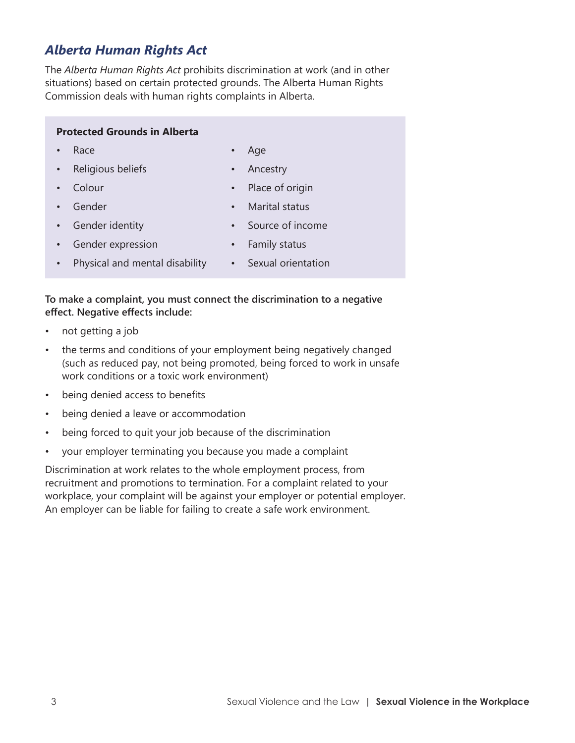### *Alberta Human Rights Act*

The *Alberta Human Rights Act* prohibits discrimination at work (and in other situations) based on certain protected grounds. The Alberta Human Rights Commission deals with human rights complaints in Alberta.

### **Protected Grounds in Alberta**

• Race

• Age

• Religious beliefs

**Ancestry** 

• Colour

- Place of origin
- Gender
- Marital status
- Gender identity
- Source of income
- Gender expression • Family status
- Physical and mental disability • Sexual orientation

### **To make a complaint, you must connect the discrimination to a negative effect. Negative effects include:**

- not getting a job
- the terms and conditions of your employment being negatively changed (such as reduced pay, not being promoted, being forced to work in unsafe work conditions or a toxic work environment)
- being denied access to benefits
- being denied a leave or accommodation
- being forced to quit your job because of the discrimination
- your employer terminating you because you made a complaint

Discrimination at work relates to the whole employment process, from recruitment and promotions to termination. For a complaint related to your workplace, your complaint will be against your employer or potential employer. An employer can be liable for failing to create a safe work environment.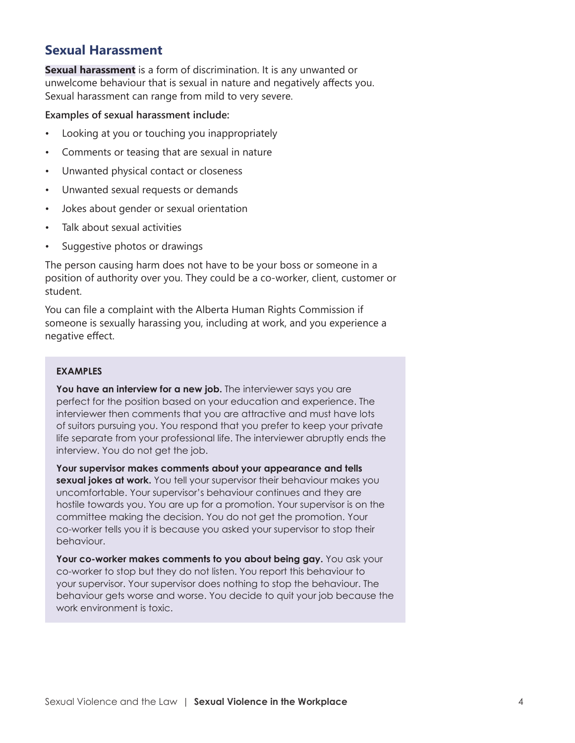### **Sexual Harassment**

**Sexual harassment** is a form of discrimination. It is any unwanted or unwelcome behaviour that is sexual in nature and negatively affects you. Sexual harassment can range from mild to very severe.

### **Examples of sexual harassment include:**

- Looking at you or touching you inappropriately
- Comments or teasing that are sexual in nature
- Unwanted physical contact or closeness
- Unwanted sexual requests or demands
- Jokes about gender or sexual orientation
- Talk about sexual activities
- Suggestive photos or drawings

The person causing harm does not have to be your boss or someone in a position of authority over you. They could be a co-worker, client, customer or student.

You can file a complaint with the Alberta Human Rights Commission if someone is sexually harassing you, including at work, and you experience a negative effect.

### **EXAMPLES**

You have an interview for a new job. The interviewer says you are perfect for the position based on your education and experience. The interviewer then comments that you are attractive and must have lots of suitors pursuing you. You respond that you prefer to keep your private life separate from your professional life. The interviewer abruptly ends the interview. You do not get the job.

**Your supervisor makes comments about your appearance and tells sexual jokes at work.** You tell your supervisor their behaviour makes you uncomfortable. Your supervisor's behaviour continues and they are hostile towards you. You are up for a promotion. Your supervisor is on the committee making the decision. You do not get the promotion. Your co-worker tells you it is because you asked your supervisor to stop their behaviour.

**Your co-worker makes comments to you about being gay.** You ask your co-worker to stop but they do not listen. You report this behaviour to your supervisor. Your supervisor does nothing to stop the behaviour. The behaviour gets worse and worse. You decide to quit your job because the work environment is toxic.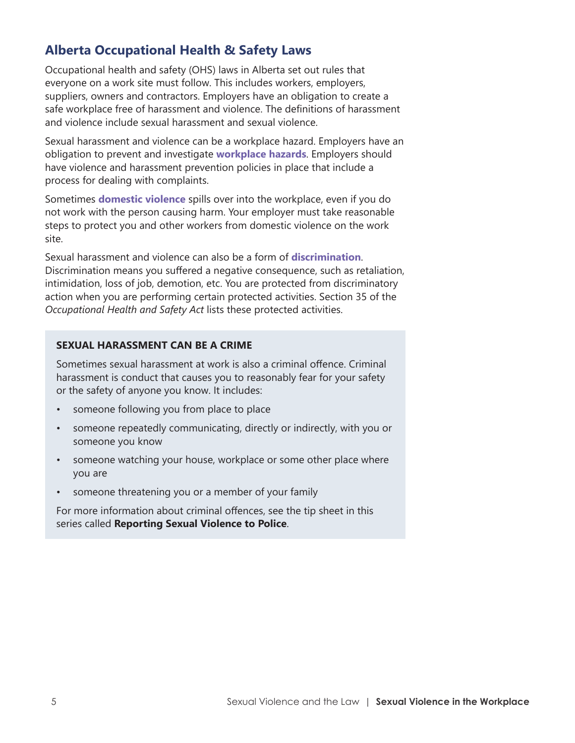## **Alberta Occupational Health & Safety Laws**

Occupational health and safety (OHS) laws in Alberta set out rules that everyone on a work site must follow. This includes workers, employers, suppliers, owners and contractors. Employers have an obligation to create a safe workplace free of harassment and violence. The definitions of harassment and violence include sexual harassment and sexual violence.

Sexual harassment and violence can be a workplace hazard. Employers have an obligation to prevent and investigate **workplace hazards**. Employers should have violence and harassment prevention policies in place that include a process for dealing with complaints.

Sometimes **domestic violence** spills over into the workplace, even if you do not work with the person causing harm. Your employer must take reasonable steps to protect you and other workers from domestic violence on the work site.

Sexual harassment and violence can also be a form of **discrimination**. Discrimination means you suffered a negative consequence, such as retaliation, intimidation, loss of job, demotion, etc. You are protected from discriminatory action when you are performing certain protected activities. Section 35 of the *Occupational Health and Safety Act* lists these protected activities.

### **SEXUAL HARASSMENT CAN BE A CRIME**

Sometimes sexual harassment at work is also a criminal offence. Criminal harassment is conduct that causes you to reasonably fear for your safety or the safety of anyone you know. It includes:

- someone following you from place to place
- someone repeatedly communicating, directly or indirectly, with you or someone you know
- someone watching your house, workplace or some other place where you are
- someone threatening you or a member of your family

For more information about criminal offences, see the tip sheet in this series called **Reporting Sexual Violence to Police**.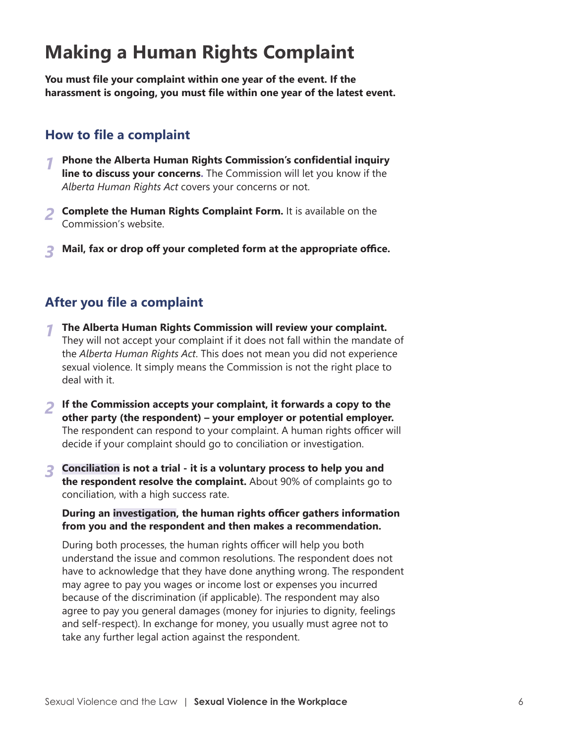# **Making a Human Rights Complaint**

**You must file your complaint within one year of the event. If the harassment is ongoing, you must file within one year of the latest event.**

### **How to file a complaint**

- *1* **Phone the Alberta Human Rights Commission's confidential inquiry line to discuss your concerns.** The Commission will let you know if the *Alberta Human Rights Act* covers your concerns or not.
- *2* **Complete the Human Rights Complaint Form.** It is available on the Commission's website.
- *3* **Mail, fax or drop off your completed form at the appropriate office.**

### **After you file a complaint**

- *1* **The Alberta Human Rights Commission will review your complaint.** They will not accept your complaint if it does not fall within the mandate of the *Alberta Human Rights Act*. This does not mean you did not experience sexual violence. It simply means the Commission is not the right place to deal with it.
- *2* **If the Commission accepts your complaint, it forwards a copy to the other party (the respondent) – your employer or potential employer.** The respondent can respond to your complaint. A human rights officer will decide if your complaint should go to conciliation or investigation.
- *3* **Conciliation is not a trial it is a voluntary process to help you and the respondent resolve the complaint.** About 90% of complaints go to conciliation, with a high success rate.

### **During an investigation, the human rights officer gathers information from you and the respondent and then makes a recommendation.**

During both processes, the human rights officer will help you both understand the issue and common resolutions. The respondent does not have to acknowledge that they have done anything wrong. The respondent may agree to pay you wages or income lost or expenses you incurred because of the discrimination (if applicable). The respondent may also agree to pay you general damages (money for injuries to dignity, feelings and self-respect). In exchange for money, you usually must agree not to take any further legal action against the respondent.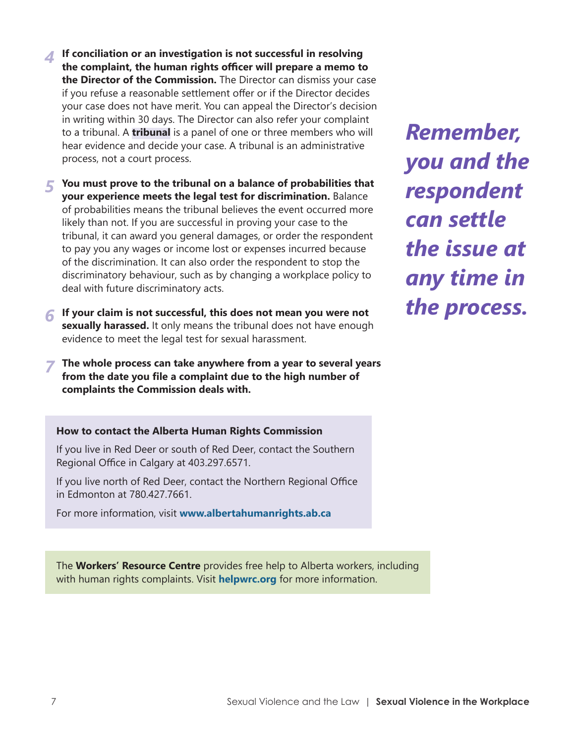*4* **If conciliation or an investigation is not successful in resolving the complaint, the human rights officer will prepare a memo to the Director of the Commission.** The Director can dismiss your case if you refuse a reasonable settlement offer or if the Director decides your case does not have merit. You can appeal the Director's decision in writing within 30 days. The Director can also refer your complaint to a tribunal. A **tribunal** is a panel of one or three members who will hear evidence and decide your case. A tribunal is an administrative process, not a court process.

*5* **You must prove to the tribunal on a balance of probabilities that your experience meets the legal test for discrimination.** Balance of probabilities means the tribunal believes the event occurred more likely than not. If you are successful in proving your case to the tribunal, it can award you general damages, or order the respondent to pay you any wages or income lost or expenses incurred because of the discrimination. It can also order the respondent to stop the discriminatory behaviour, such as by changing a workplace policy to deal with future discriminatory acts.

- *6* **If your claim is not successful, this does not mean you were not sexually harassed.** It only means the tribunal does not have enough evidence to meet the legal test for sexual harassment.
- *7* **The whole process can take anywhere from a year to several years from the date you file a complaint due to the high number of complaints the Commission deals with.**

*Remember, you and the respondent can settle the issue at any time in the process.*

**How to contact the Alberta Human Rights Commission**

If you live in Red Deer or south of Red Deer, contact the Southern Regional Office in Calgary at 403.297.6571.

If you live north of Red Deer, contact the Northern Regional Office in Edmonton at 780.427.7661.

For more information, visit **[www.albertahumanrights.ab.ca](http://www.albertahumanrights.ab.ca)**

The **Workers' Resource Centre** provides free help to Alberta workers, including with human rights complaints. Visit **[helpwrc.org](http://helpwrc.org)** for more information.